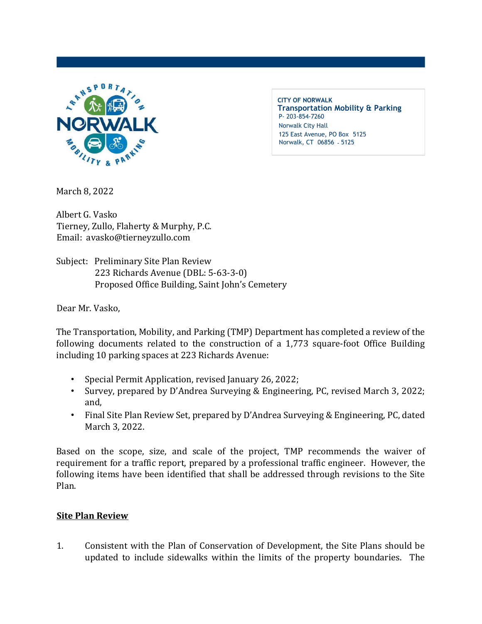

**CITY OF NORWALK Transportation Mobility & Parking** P- 203-854-7260 Norwalk City Hall 125 East Avenue, PO Box 5125 Norwalk, CT 06856 - 5125

March 8, 2022

Albert G. Vasko Tierney, Zullo, Flaherty & Murphy, P.C. Email: avasko@tierneyzullo.com

Subject: Preliminary Site Plan Review 223 Richards Avenue (DBL: 5-63-3-0) Proposed Office Building, Saint John's Cemetery

Dear Mr. Vasko,

The Transportation, Mobility, and Parking (TMP) Department has completed a review of the following documents related to the construction of a 1,773 square-foot Office Building including 10 parking spaces at 223 Richards Avenue:

- Special Permit Application, revised January 26, 2022;
- Survey, prepared by D'Andrea Surveying & Engineering, PC, revised March 3, 2022; and,
- Final Site Plan Review Set, prepared by D'Andrea Surveying & Engineering, PC, dated March 3, 2022.

Based on the scope, size, and scale of the project, TMP recommends the waiver of requirement for a traffic report, prepared by a professional traffic engineer. However, the following items have been identified that shall be addressed through revisions to the Site Plan.

## **Site Plan Review**

1. Consistent with the Plan of Conservation of Development, the Site Plans should be updated to include sidewalks within the limits of the property boundaries. The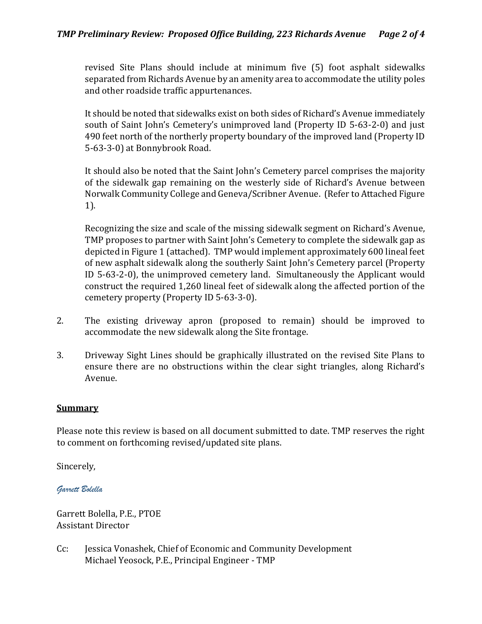revised Site Plans should include at minimum five (5) foot asphalt sidewalks separated from Richards Avenue by an amenity area to accommodate the utility poles and other roadside traffic appurtenances.

It should be noted that sidewalks exist on both sides of Richard's Avenue immediately south of Saint John's Cemetery's unimproved land (Property ID 5-63-2-0) and just 490 feet north of the northerly property boundary of the improved land (Property ID 5-63-3-0) at Bonnybrook Road.

It should also be noted that the Saint John's Cemetery parcel comprises the majority of the sidewalk gap remaining on the westerly side of Richard's Avenue between Norwalk Community College and Geneva/Scribner Avenue. (Refer to Attached Figure 1).

Recognizing the size and scale of the missing sidewalk segment on Richard's Avenue, TMP proposes to partner with Saint John's Cemetery to complete the sidewalk gap as depicted in Figure 1 (attached). TMP would implement approximately 600 lineal feet of new asphalt sidewalk along the southerly Saint John's Cemetery parcel (Property ID 5-63-2-0), the unimproved cemetery land. Simultaneously the Applicant would construct the required 1,260 lineal feet of sidewalk along the affected portion of the cemetery property (Property ID 5-63-3-0).

- 2. The existing driveway apron (proposed to remain) should be improved to accommodate the new sidewalk along the Site frontage.
- 3. Driveway Sight Lines should be graphically illustrated on the revised Site Plans to ensure there are no obstructions within the clear sight triangles, along Richard's Avenue.

## **Summary**

Please note this review is based on all document submitted to date. TMP reserves the right to comment on forthcoming revised/updated site plans.

Sincerely,

*Garrett Bolella*

Garrett Bolella, P.E., PTOE Assistant Director

Cc: Jessica Vonashek, Chief of Economic and Community Development Michael Yeosock, P.E., Principal Engineer - TMP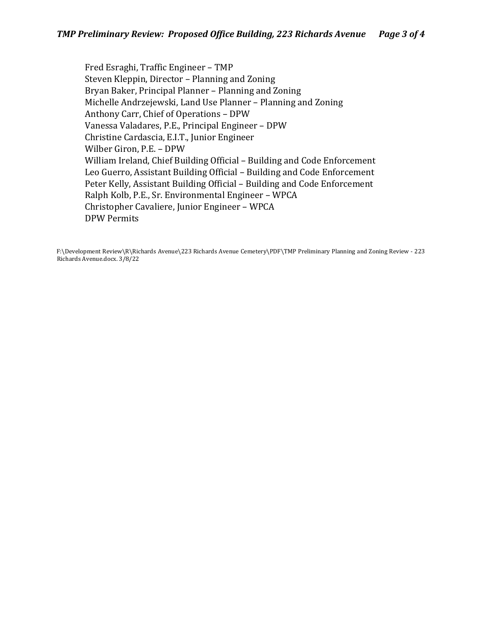Fred Esraghi, Traffic Engineer – TMP Steven Kleppin, Director – Planning and Zoning Bryan Baker, Principal Planner – Planning and Zoning Michelle Andrzejewski, Land Use Planner – Planning and Zoning Anthony Carr, Chief of Operations – DPW Vanessa Valadares, P.E., Principal Engineer – DPW Christine Cardascia, E.I.T., Junior Engineer Wilber Giron, P.E. – DPW William Ireland, Chief Building Official – Building and Code Enforcement Leo Guerro, Assistant Building Official – Building and Code Enforcement Peter Kelly, Assistant Building Official – Building and Code Enforcement Ralph Kolb, P.E., Sr. Environmental Engineer – WPCA Christopher Cavaliere, Junior Engineer – WPCA DPW Permits

F:\Development Review\R\Richards Avenue\223 Richards Avenue Cemetery\PDF\TMP Preliminary Planning and Zoning Review - 223 Richards Avenue.docx. 3/8/22